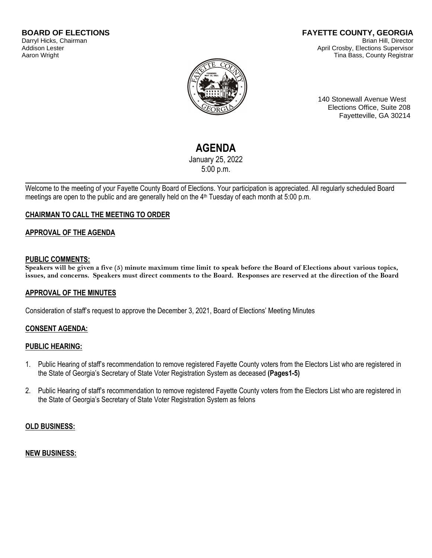#### **BOARD OF ELECTIONS** Darryl Hicks, Chairman Addison Lester Aaron Wright

#### **FAYETTE COUNTY, GEORGIA** Brian Hill, Director April Crosby, Elections Supervisor Tina Bass, County Registrar



140 Stonewall Avenue West Elections Office, Suite 208 Fayetteville, GA 30214

# **AGENDA**

January 25, 2022 5:00 p.m.

Welcome to the meeting of your Fayette County Board of Elections. Your participation is appreciated. All regularly scheduled Board meetings are open to the public and are generally held on the 4<sup>th</sup> Tuesday of each month at 5:00 p.m.

# **CHAIRMAN TO CALL THE MEETING TO ORDER**

## **APPROVAL OF THE AGENDA**

## **PUBLIC COMMENTS:**

**Speakers will be given a five (5) minute maximum time limit to speak before the Board of Elections about various topics, issues, and concerns. Speakers must direct comments to the Board. Responses are reserved at the direction of the Board**

## **APPROVAL OF THE MINUTES**

Consideration of staff's request to approve the December 3, 2021, Board of Elections' Meeting Minutes

## **CONSENT AGENDA:**

#### **PUBLIC HEARING:**

- 1. Public Hearing of staff's recommendation to remove registered Fayette County voters from the Electors List who are registered in the State of Georgia's Secretary of State Voter Registration System as deceased **(Pages1-5)**
- 2. Public Hearing of staff's recommendation to remove registered Fayette County voters from the Electors List who are registered in the State of Georgia's Secretary of State Voter Registration System as felons

#### **OLD BUSINESS:**

#### **NEW BUSINESS:**